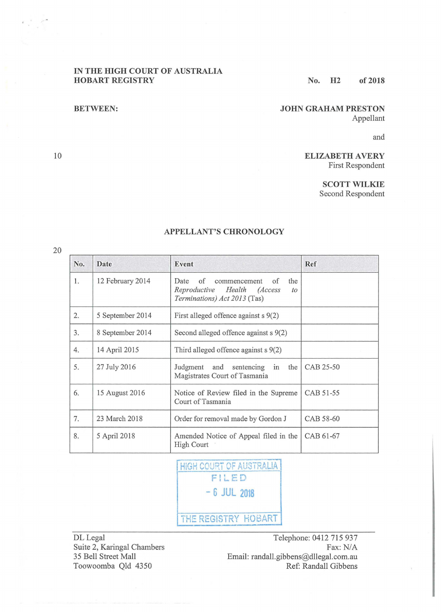#### **IN THE HIGH COURT OF AUSTRALIA HOBART REGISTRY** No. H<sub>2</sub> of 2018

### **BETWEEN: JOHN GRAHAM PRESTON** Appellant

and

## **ELIZABETH A VERY**  First Respondent

**SCOTT WILKIE** 

Second Respondent

| No. | Date             | Event                                                                                                                     | Ref       |
|-----|------------------|---------------------------------------------------------------------------------------------------------------------------|-----------|
| 1.  | 12 February 2014 | of<br>the<br>Date<br>commencement<br>of<br>Reproductive<br>Health<br><i>(Access</i><br>to<br>Terminations) Act 2013 (Tas) |           |
| 2.  | 5 September 2014 | First alleged offence against $s$ 9(2)                                                                                    |           |
| 3.  | 8 September 2014 | Second alleged offence against $s$ 9(2)                                                                                   |           |
| 4.  | 14 April 2015    | Third alleged offence against $s$ 9(2)                                                                                    |           |
| 5.  | 27 July 2016     | the<br>Judgment and<br>sentencing<br>in<br>Magistrates Court of Tasmania                                                  | CAB 25-50 |
| 6.  | 15 August 2016   | Notice of Review filed in the Supreme<br>Court of Tasmania                                                                | CAB 51-55 |
| 7.  | 23 March 2018    | Order for removal made by Gordon J                                                                                        | CAB 58-60 |
| 8.  | 5 April 2018     | Amended Notice of Appeal filed in the<br><b>High Court</b>                                                                | CAB 61-67 |

# **APPELLANT'S CHRONOLOGY**

HIGH COURT OF AUSTRALIA **F!LED**  - **6 JUL 2018 THE REGISTRY HOBART** 

DL Legal Suite 2, Karingal Chambers 35 Bell Street Mall Toowoomba Qld 4350

Telephone: 0412 715 937 Fax: N/A Email: randall.gibbens@dllegal.com.au Ref: Randall Gibbens

10

 $\mathcal{L} \subset \mathcal{L}$ 

20